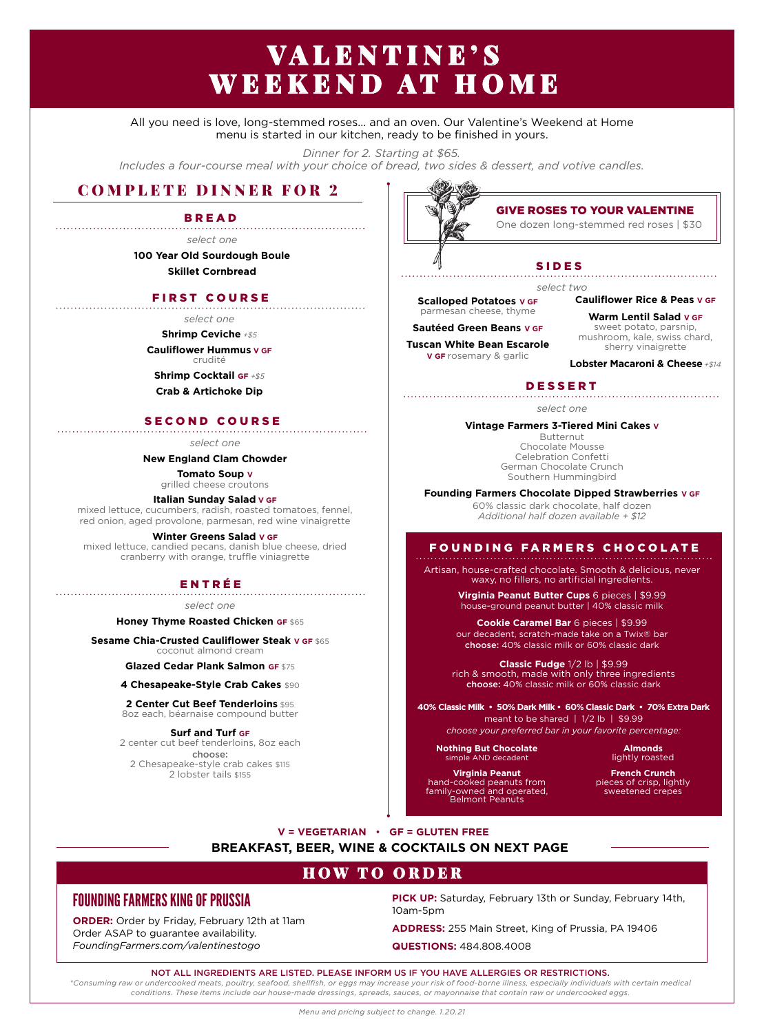# VALENTINE'S WEEKEND AT HOME

All you need is love, long-stemmed roses... and an oven. Our Valentine's Weekend at Home menu is started in our kitchen, ready to be finished in yours.

*Dinner for 2. Starting at \$65.*

*Includes a four-course meal with your choice of bread, two sides & dessert, and votive candles.*

## COMPLETE DINNER FOR 2

BREAD

*select one*

**100 Year Old Sourdough Boule Skillet Cornbread**

#### FIRST COURSE

*select one*

**Shrimp Ceviche** *+\$5*

**Cauliflower Hummus V GF** crudité

**Shrimp Cocktail GF** *+\$5*

**Crab & Artichoke Dip**

#### SECOND COURSE

*select one*

**New England Clam Chowder**

**Tomato Soup V** grilled cheese croutons

**Italian Sunday Salad V GF**

mixed lettuce, cucumbers, radish, roasted tomatoes, fennel, red onion, aged provolone, parmesan, red wine vinaigrette

**Winter Greens Salad V GF** mixed lettuce, candied pecans, danish blue cheese, dried cranberry with orange, truffle viniagrette

## ENTRÉE

*select one*

**Honey Thyme Roasted Chicken GF** \$65

**Sesame Chia-Crusted Cauliflower Steak V GF** \$65 coconut almond cream

**Glazed Cedar Plank Salmon GF** \$75

**4 Chesapeake-Style Crab Cakes** \$90

**2 Center Cut Beef Tenderloins** \$95

8oz each, béarnaise compound butter

### **Surf and Turf GF**

2 center cut beef tenderloins, 8oz each choose: 2 Chesapeake-style crab cakes \$115 2 lobster tails \$155



## GIVE ROSES TO YOUR VALENTINE

One dozen long-stemmed red roses | \$30

#### SIDES

**Scalloped Potatoes V GF** *select two*

parmesan cheese, thyme

**Sautéed Green Beans V GF**

**Tuscan White Bean Escarole V GF** rosemary & garlic

**Warm Lentil Salad V GF** sweet potato, parsnip, mushroom, kale, swiss chard, sherry vinaigrette

**Cauliflower Rice & Peas V GF**

**Lobster Macaroni & Cheese** *+\$14*

DESSERT

*select one*

**Vintage Farmers 3-Tiered Mini Cakes V** Butternut Chocolate Mousse

Celebration Confetti German Chocolate Crunch Southern Hummingbird

**Founding Farmers Chocolate Dipped Strawberries V GF**

60% classic dark chocolate, half dozen *Additional half dozen available + \$12*

#### F O U N D I N G F A R M E R S C H O C O L A T E

Artisan, house-crafted chocolate. Smooth & delicious, never waxy, no fillers, no artificial ingredients.

> **Virginia Peanut Butter Cups** 6 pieces | \$9.99 house-ground peanut butter | 40% classic milk

> **Cookie Caramel Bar** 6 pieces | \$9.99 our decadent, scratch-made take on a Twix® bar choose: 40% classic milk or 60% classic dark

**Classic Fudge** 1/2 lb | \$9.99 rich & smooth, made with only three ingredients choose: 40% classic milk or 60% classic dark

**40% Classic Milk • 50% Dark Milk • 60% Classic Dark • 70% Extra Dark** meant to be shared | 1/2 lb | \$9.99 *choose your preferred bar in your favorite percentage:*

**Nothing But Chocolate** simple AND decadent

**Virginia Peanut** hand-cooked peanuts from family-owned and operated, Belmont Peanuts

**French Crunch**  pieces of crisp, lightly sweetened crepes

**V = VEGETARIAN GF = GLUTEN FREE**

#### **BREAKFAST, BEER, WINE & COCKTAILS ON NEXT PAGE**

## HOW TO ORDER

## FOUNDING FARMERS KING OF PRUSSIA

**ORDER:** Order by Friday, February 12th at 11am Order ASAP to guarantee availability. *FoundingFarmers.com/valentinestogo* 

**PICK UP:** Saturday, February 13th or Sunday, February 14th, 10am-5pm

**ADDRESS:** 255 Main Street, King of Prussia, PA 19406

**QUESTIONS:** 484.808.4008

NOT ALL INGREDIENTS ARE LISTED. PLEASE INFORM US IF YOU HAVE ALLERGIES OR RESTRICTIONS.

*\*Consuming raw or undercooked meats, poultry, seafood, shellfish, or eggs may increase your risk of food-borne illness, especially individuals with certain medical conditions. These items include our house-made dressings, spreads, sauces, or mayonnaise that contain raw or undercooked eggs.*

**Almonds**  lightly roasted